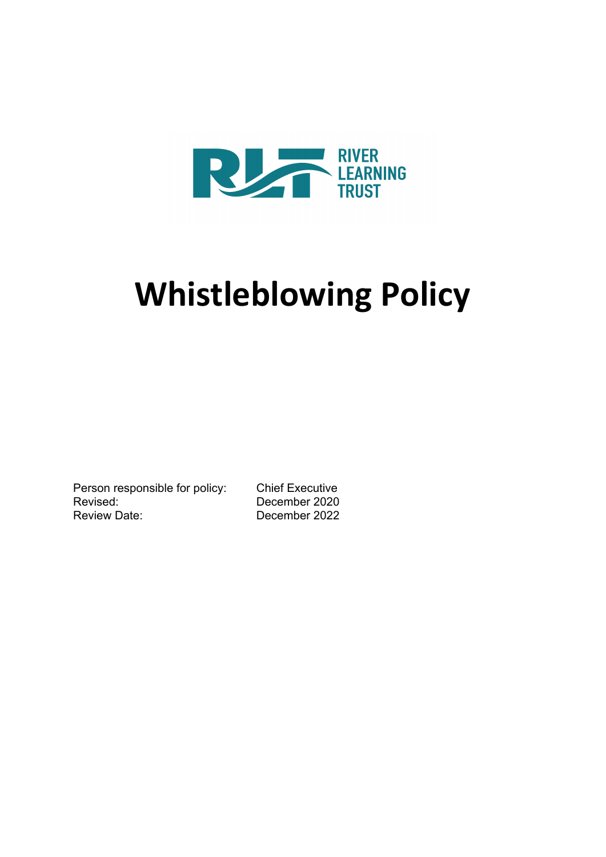

# **Whistleblowing Policy**

Person responsible for policy: Chief Executive Revised: December 2020 Review Date: December 2022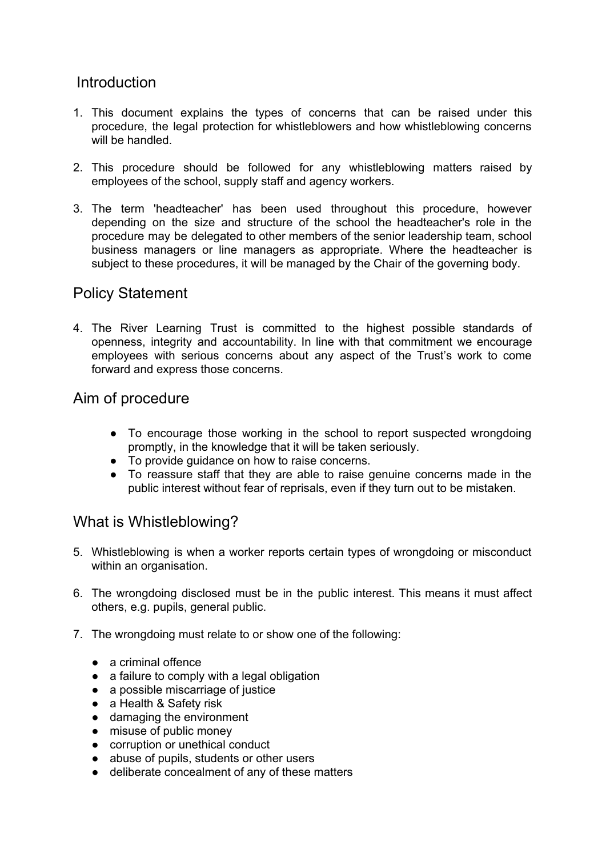#### **Introduction**

- 1. This document explains the types of concerns that can be raised under this procedure, the legal protection for whistleblowers and how whistleblowing concerns will be handled.
- 2. This procedure should be followed for any whistleblowing matters raised by employees of the school, supply staff and agency workers.
- 3. The term 'headteacher' has been used throughout this procedure, however depending on the size and structure of the school the headteacher's role in the procedure may be delegated to other members of the senior leadership team, school business managers or line managers as appropriate. Where the headteacher is subject to these procedures, it will be managed by the Chair of the governing body.

#### Policy Statement

4. The River Learning Trust is committed to the highest possible standards of openness, integrity and accountability. In line with that commitment we encourage employees with serious concerns about any aspect of the Trust's work to come forward and express those concerns.

### Aim of procedure

- To encourage those working in the school to report suspected wrongdoing promptly, in the knowledge that it will be taken seriously.
- To provide guidance on how to raise concerns.
- To reassure staff that they are able to raise genuine concerns made in the public interest without fear of reprisals, even if they turn out to be mistaken.

## What is Whistleblowing?

- 5. Whistleblowing is when a worker reports certain types of wrongdoing or misconduct within an organisation.
- 6. The wrongdoing disclosed must be in the public interest. This means it must affect others, e.g. pupils, general public.
- 7. The wrongdoing must relate to or show one of the following:
	- a criminal offence
	- a failure to comply with a legal obligation
	- a possible miscarriage of justice
	- a Health & Safety risk
	- damaging the environment
	- misuse of public money
	- corruption or unethical conduct
	- abuse of pupils, students or other users
	- deliberate concealment of any of these matters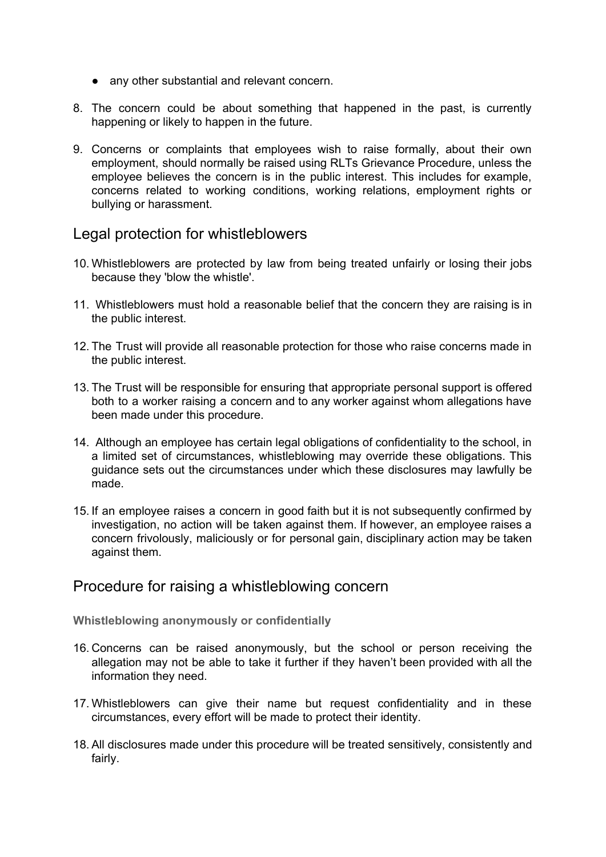- any other substantial and relevant concern.
- 8. The concern could be about something that happened in the past, is currently happening or likely to happen in the future.
- 9. Concerns or complaints that employees wish to raise formally, about their own employment, should normally be raised using RLTs Grievance Procedure, unless the employee believes the concern is in the public interest. This includes for example, concerns related to working conditions, working relations, employment rights or bullying or harassment.

#### Legal protection for whistleblowers

- 10. Whistleblowers are protected by law from being treated unfairly or losing their jobs because they 'blow the whistle'.
- 11. Whistleblowers must hold a reasonable belief that the concern they are raising is in the public interest.
- 12. The Trust will provide all reasonable protection for those who raise concerns made in the public interest.
- 13. The Trust will be responsible for ensuring that appropriate personal support is offered both to a worker raising a concern and to any worker against whom allegations have been made under this procedure.
- 14. Although an employee has certain legal obligations of confidentiality to the school, in a limited set of circumstances, whistleblowing may override these obligations. This guidance sets out the circumstances under which these disclosures may lawfully be made.
- 15. If an employee raises a concern in good faith but it is not subsequently confirmed by investigation, no action will be taken against them. If however, an employee raises a concern frivolously, maliciously or for personal gain, disciplinary action may be taken against them.

#### Procedure for raising a whistleblowing concern

**Whistleblowing anonymously or confidentially**

- 16. Concerns can be raised anonymously, but the school or person receiving the allegation may not be able to take it further if they haven't been provided with all the information they need.
- 17. Whistleblowers can give their name but request confidentiality and in these circumstances, every effort will be made to protect their identity.
- 18. All disclosures made under this procedure will be treated sensitively, consistently and fairly.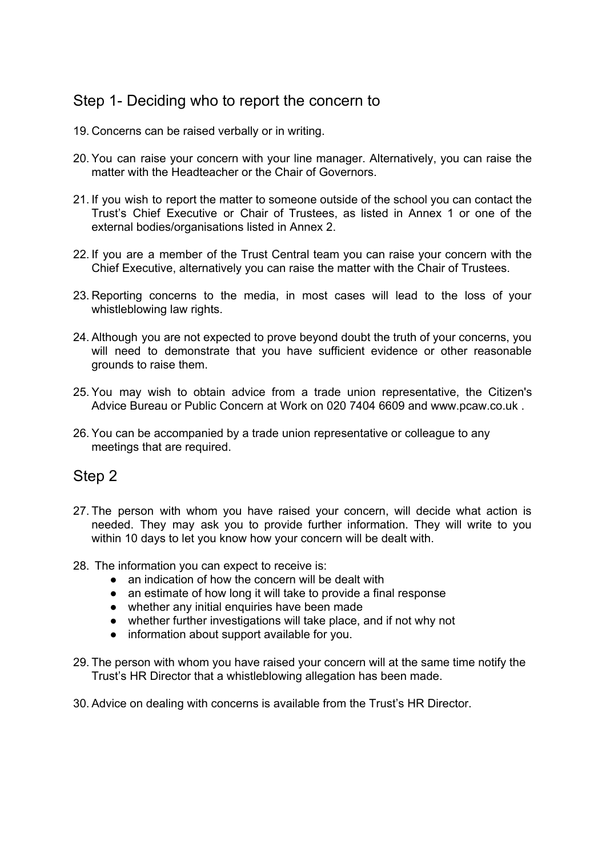## Step 1- Deciding who to report the concern to

- 19. Concerns can be raised verbally or in writing.
- 20. You can raise your concern with your line manager. Alternatively, you can raise the matter with the Headteacher or the Chair of Governors.
- 21. If you wish to report the matter to someone outside of the school you can contact the Trust's Chief Executive or Chair of Trustees, as listed in Annex 1 or one of the external bodies/organisations listed in Annex 2.
- 22. If you are a member of the Trust Central team you can raise your concern with the Chief Executive, alternatively you can raise the matter with the Chair of Trustees.
- 23. Reporting concerns to the media, in most cases will lead to the loss of your whistleblowing law rights.
- 24. Although you are not expected to prove beyond doubt the truth of your concerns, you will need to demonstrate that you have sufficient evidence or other reasonable grounds to raise them.
- 25. You may wish to obtain advice from a trade union representative, the Citizen's Advice Bureau or Public Concern at Work on 020 7404 6609 and www.pcaw.co.uk .
- 26. You can be accompanied by a trade union representative or colleague to any meetings that are required.

#### Step 2

- 27. The person with whom you have raised your concern, will decide what action is needed. They may ask you to provide further information. They will write to you within 10 days to let you know how your concern will be dealt with.
- 28. The information you can expect to receive is:
	- an indication of how the concern will be dealt with
	- an estimate of how long it will take to provide a final response
	- whether any initial enquiries have been made
	- whether further investigations will take place, and if not why not
	- information about support available for you.
- 29. The person with whom you have raised your concern will at the same time notify the Trust's HR Director that a whistleblowing allegation has been made.
- 30. Advice on dealing with concerns is available from the Trust's HR Director.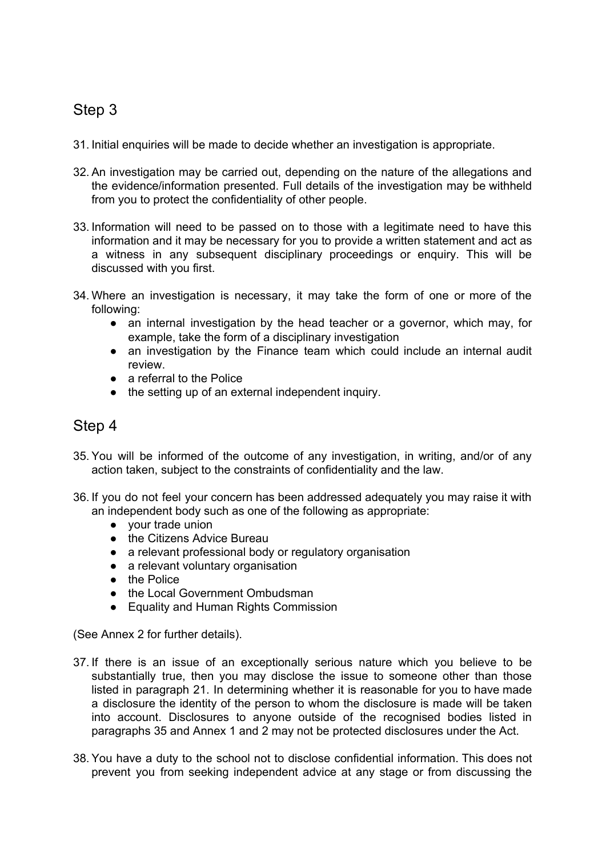## Step 3

- 31. Initial enquiries will be made to decide whether an investigation is appropriate.
- 32. An investigation may be carried out, depending on the nature of the allegations and the evidence/information presented. Full details of the investigation may be withheld from you to protect the confidentiality of other people.
- 33. Information will need to be passed on to those with a legitimate need to have this information and it may be necessary for you to provide a written statement and act as a witness in any subsequent disciplinary proceedings or enquiry. This will be discussed with you first.
- 34. Where an investigation is necessary, it may take the form of one or more of the following:
	- an internal investigation by the head teacher or a governor, which may, for example, take the form of a disciplinary investigation
	- an investigation by the Finance team which could include an internal audit review.
	- a referral to the Police
	- the setting up of an external independent inquiry.

#### Step 4

- 35. You will be informed of the outcome of any investigation, in writing, and/or of any action taken, subject to the constraints of confidentiality and the law.
- 36. If you do not feel your concern has been addressed adequately you may raise it with an independent body such as one of the following as appropriate:
	- your trade union
	- the Citizens Advice Bureau
	- a relevant professional body or regulatory organisation
	- a relevant voluntary organisation
	- the Police
	- the Local Government Ombudsman
	- Equality and Human Rights Commission

(See Annex 2 for further details).

- 37. If there is an issue of an exceptionally serious nature which you believe to be substantially true, then you may disclose the issue to someone other than those listed in paragraph 21. In determining whether it is reasonable for you to have made a disclosure the identity of the person to whom the disclosure is made will be taken into account. Disclosures to anyone outside of the recognised bodies listed in paragraphs 35 and Annex 1 and 2 may not be protected disclosures under the Act.
- 38. You have a duty to the school not to disclose confidential information. This does not prevent you from seeking independent advice at any stage or from discussing the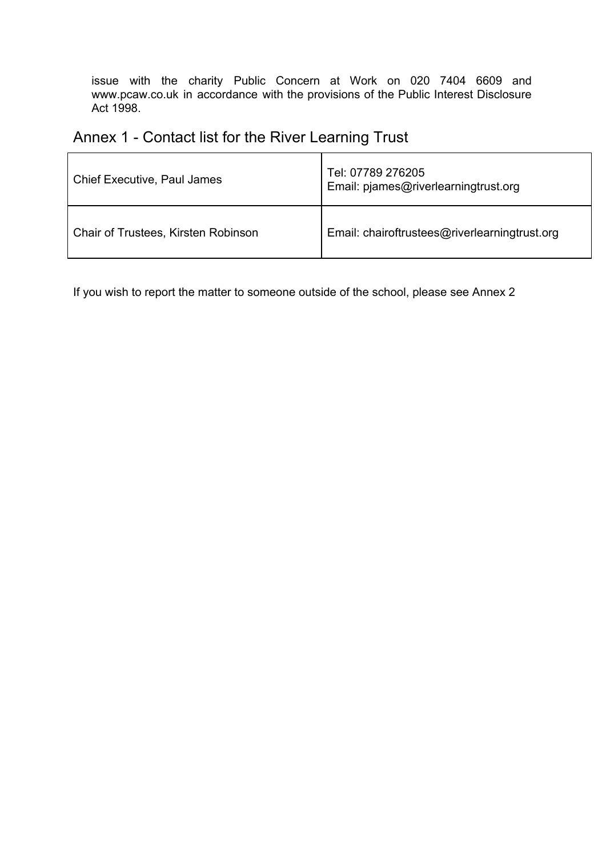issue with the charity Public Concern at Work on 020 7404 6609 and www.pcaw.co.uk in accordance with the provisions of the Public Interest Disclosure Act 1998.

# Annex 1 - Contact list for the River Learning Trust

| Chief Executive, Paul James         | Tel: 07789 276205<br>Email: pjames@riverlearningtrust.org |
|-------------------------------------|-----------------------------------------------------------|
| Chair of Trustees, Kirsten Robinson | Email: chairoftrustees@riverlearningtrust.org             |

If you wish to report the matter to someone outside of the school, please see Annex 2